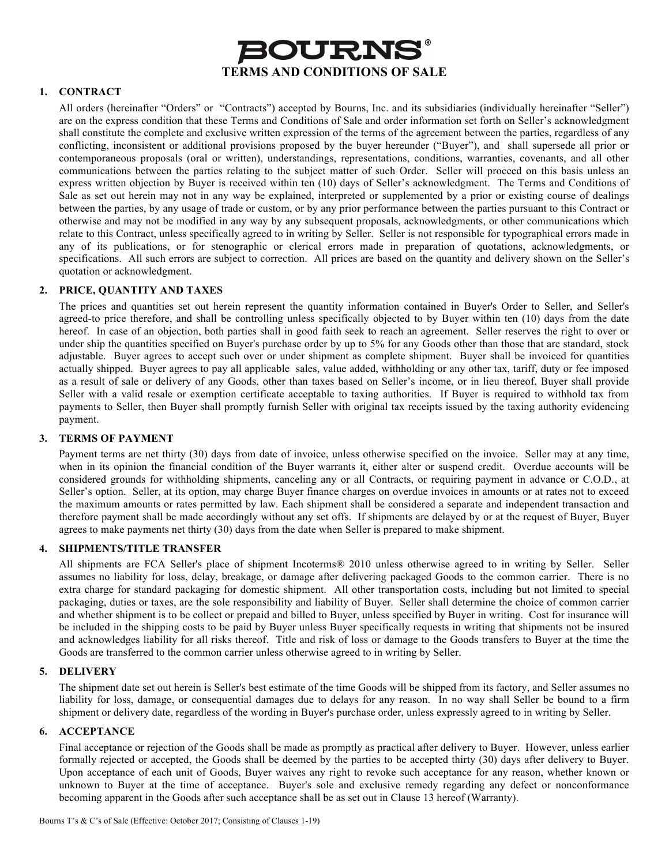# **BOURNS TERMS AND CONDITIONS OF SALE**

# **1. CONTRACT**

All orders (hereinafter "Orders" or "Contracts") accepted by Bourns, Inc. and its subsidiaries (individually hereinafter "Seller") are on the express condition that these Terms and Conditions of Sale and order information set forth on Seller's acknowledgment shall constitute the complete and exclusive written expression of the terms of the agreement between the parties, regardless of any conflicting, inconsistent or additional provisions proposed by the buyer hereunder ("Buyer"), and shall supersede all prior or contemporaneous proposals (oral or written), understandings, representations, conditions, warranties, covenants, and all other communications between the parties relating to the subject matter of such Order. Seller will proceed on this basis unless an express written objection by Buyer is received within ten (10) days of Seller's acknowledgment. The Terms and Conditions of Sale as set out herein may not in any way be explained, interpreted or supplemented by a prior or existing course of dealings between the parties, by any usage of trade or custom, or by any prior performance between the parties pursuant to this Contract or otherwise and may not be modified in any way by any subsequent proposals, acknowledgments, or other communications which relate to this Contract, unless specifically agreed to in writing by Seller. Seller is not responsible for typographical errors made in any of its publications, or for stenographic or clerical errors made in preparation of quotations, acknowledgments, or specifications. All such errors are subject to correction. All prices are based on the quantity and delivery shown on the Seller's quotation or acknowledgment.

# **2. PRICE, QUANTITY AND TAXES**

The prices and quantities set out herein represent the quantity information contained in Buyer's Order to Seller, and Seller's agreed-to price therefore, and shall be controlling unless specifically objected to by Buyer within ten (10) days from the date hereof. In case of an objection, both parties shall in good faith seek to reach an agreement. Seller reserves the right to over or under ship the quantities specified on Buyer's purchase order by up to 5% for any Goods other than those that are standard, stock adjustable. Buyer agrees to accept such over or under shipment as complete shipment. Buyer shall be invoiced for quantities actually shipped. Buyer agrees to pay all applicable sales, value added, withholding or any other tax, tariff, duty or fee imposed as a result of sale or delivery of any Goods, other than taxes based on Seller's income, or in lieu thereof, Buyer shall provide Seller with a valid resale or exemption certificate acceptable to taxing authorities. If Buyer is required to withhold tax from payments to Seller, then Buyer shall promptly furnish Seller with original tax receipts issued by the taxing authority evidencing payment.

# **3. TERMS OF PAYMENT**

Payment terms are net thirty (30) days from date of invoice, unless otherwise specified on the invoice. Seller may at any time, when in its opinion the financial condition of the Buyer warrants it, either alter or suspend credit. Overdue accounts will be considered grounds for withholding shipments, canceling any or all Contracts, or requiring payment in advance or C.O.D., at Seller's option. Seller, at its option, may charge Buyer finance charges on overdue invoices in amounts or at rates not to exceed the maximum amounts or rates permitted by law. Each shipment shall be considered a separate and independent transaction and therefore payment shall be made accordingly without any set offs. If shipments are delayed by or at the request of Buyer, Buyer agrees to make payments net thirty (30) days from the date when Seller is prepared to make shipment.

# **4. SHIPMENTS/TITLE TRANSFER**

All shipments are FCA Seller's place of shipment Incoterms® 2010 unless otherwise agreed to in writing by Seller. Seller assumes no liability for loss, delay, breakage, or damage after delivering packaged Goods to the common carrier. There is no extra charge for standard packaging for domestic shipment. All other transportation costs, including but not limited to special packaging, duties or taxes, are the sole responsibility and liability of Buyer. Seller shall determine the choice of common carrier and whether shipment is to be collect or prepaid and billed to Buyer, unless specified by Buyer in writing. Cost for insurance will be included in the shipping costs to be paid by Buyer unless Buyer specifically requests in writing that shipments not be insured and acknowledges liability for all risks thereof. Title and risk of loss or damage to the Goods transfers to Buyer at the time the Goods are transferred to the common carrier unless otherwise agreed to in writing by Seller.

# **5. DELIVERY**

The shipment date set out herein is Seller's best estimate of the time Goods will be shipped from its factory, and Seller assumes no liability for loss, damage, or consequential damages due to delays for any reason. In no way shall Seller be bound to a firm shipment or delivery date, regardless of the wording in Buyer's purchase order, unless expressly agreed to in writing by Seller.

# **6. ACCEPTANCE**

Final acceptance or rejection of the Goods shall be made as promptly as practical after delivery to Buyer. However, unless earlier formally rejected or accepted, the Goods shall be deemed by the parties to be accepted thirty (30) days after delivery to Buyer. Upon acceptance of each unit of Goods, Buyer waives any right to revoke such acceptance for any reason, whether known or unknown to Buyer at the time of acceptance. Buyer's sole and exclusive remedy regarding any defect or nonconformance becoming apparent in the Goods after such acceptance shall be as set out in Clause 13 hereof (Warranty).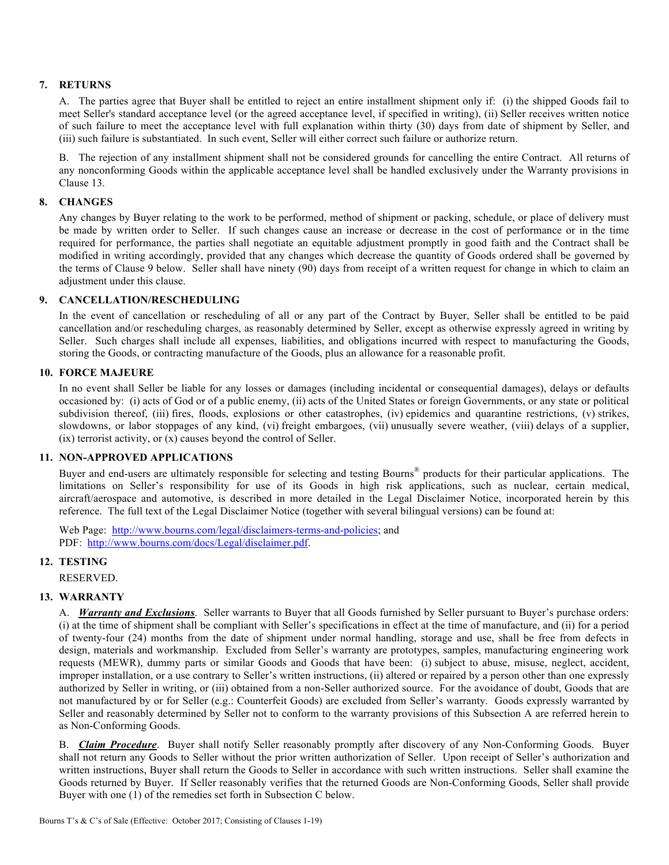## **7. RETURNS**

A. The parties agree that Buyer shall be entitled to reject an entire installment shipment only if: (i) the shipped Goods fail to meet Seller's standard acceptance level (or the agreed acceptance level, if specified in writing), (ii) Seller receives written notice of such failure to meet the acceptance level with full explanation within thirty (30) days from date of shipment by Seller, and (iii) such failure is substantiated. In such event, Seller will either correct such failure or authorize return.

B. The rejection of any installment shipment shall not be considered grounds for cancelling the entire Contract. All returns of any nonconforming Goods within the applicable acceptance level shall be handled exclusively under the Warranty provisions in Clause 13.

## **8. CHANGES**

Any changes by Buyer relating to the work to be performed, method of shipment or packing, schedule, or place of delivery must be made by written order to Seller. If such changes cause an increase or decrease in the cost of performance or in the time required for performance, the parties shall negotiate an equitable adjustment promptly in good faith and the Contract shall be modified in writing accordingly, provided that any changes which decrease the quantity of Goods ordered shall be governed by the terms of Clause 9 below. Seller shall have ninety (90) days from receipt of a written request for change in which to claim an adjustment under this clause.

## **9. CANCELLATION/RESCHEDULING**

In the event of cancellation or rescheduling of all or any part of the Contract by Buyer, Seller shall be entitled to be paid cancellation and/or rescheduling charges, as reasonably determined by Seller, except as otherwise expressly agreed in writing by Seller. Such charges shall include all expenses, liabilities, and obligations incurred with respect to manufacturing the Goods, storing the Goods, or contracting manufacture of the Goods, plus an allowance for a reasonable profit.

# **10. FORCE MAJEURE**

In no event shall Seller be liable for any losses or damages (including incidental or consequential damages), delays or defaults occasioned by: (i) acts of God or of a public enemy, (ii) acts of the United States or foreign Governments, or any state or political subdivision thereof, (iii) fires, floods, explosions or other catastrophes, (iv) epidemics and quarantine restrictions, (v) strikes, slowdowns, or labor stoppages of any kind, (vi) freight embargoes, (vii) unusually severe weather, (viii) delays of a supplier,  $(ix)$  terrorist activity, or  $(x)$  causes beyond the control of Seller.

## **11. NON-APPROVED APPLICATIONS**

Buyer and end-users are ultimately responsible for selecting and testing Bourns® products for their particular applications. The limitations on Seller's responsibility for use of its Goods in high risk applications, such as nuclear, certain medical, aircraft/aerospace and automotive, is described in more detailed in the Legal Disclaimer Notice, incorporated herein by this reference. The full text of the Legal Disclaimer Notice (together with several bilingual versions) can be found at:

Web Page: http://www.bourns.com/legal/disclaimers-terms-and-policies; and PDF: http://www.bourns.com/docs/Legal/disclaimer.pdf.

### **12. TESTING**

RESERVED.

### **13. WARRANTY**

A. *Warranty and Exclusions*. Seller warrants to Buyer that all Goods furnished by Seller pursuant to Buyer's purchase orders: (i) at the time of shipment shall be compliant with Seller's specifications in effect at the time of manufacture, and (ii) for a period of twenty-four (24) months from the date of shipment under normal handling, storage and use, shall be free from defects in design, materials and workmanship. Excluded from Seller's warranty are prototypes, samples, manufacturing engineering work requests (MEWR), dummy parts or similar Goods and Goods that have been: (i) subject to abuse, misuse, neglect, accident, improper installation, or a use contrary to Seller's written instructions, (ii) altered or repaired by a person other than one expressly authorized by Seller in writing, or (iii) obtained from a non-Seller authorized source. For the avoidance of doubt, Goods that are not manufactured by or for Seller (e.g.: Counterfeit Goods) are excluded from Seller's warranty. Goods expressly warranted by Seller and reasonably determined by Seller not to conform to the warranty provisions of this Subsection A are referred herein to as Non-Conforming Goods.

B. *Claim Procedure*. Buyer shall notify Seller reasonably promptly after discovery of any Non-Conforming Goods. Buyer shall not return any Goods to Seller without the prior written authorization of Seller. Upon receipt of Seller's authorization and written instructions, Buyer shall return the Goods to Seller in accordance with such written instructions. Seller shall examine the Goods returned by Buyer. If Seller reasonably verifies that the returned Goods are Non-Conforming Goods, Seller shall provide Buyer with one (1) of the remedies set forth in Subsection C below.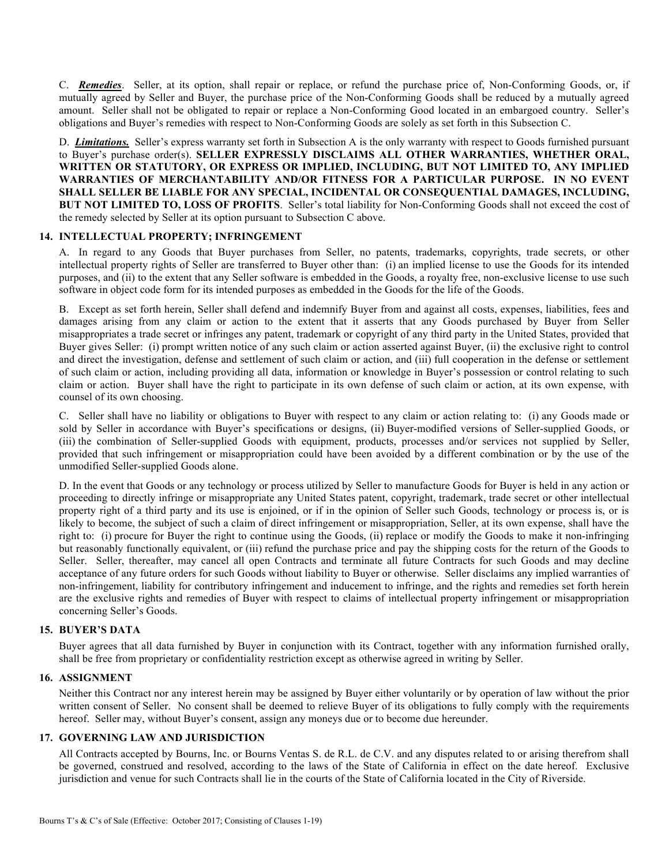C. *Remedies*. Seller, at its option, shall repair or replace, or refund the purchase price of, Non-Conforming Goods, or, if mutually agreed by Seller and Buyer, the purchase price of the Non-Conforming Goods shall be reduced by a mutually agreed amount. Seller shall not be obligated to repair or replace a Non-Conforming Good located in an embargoed country. Seller's obligations and Buyer's remedies with respect to Non-Conforming Goods are solely as set forth in this Subsection C.

D. *Limitations*. Seller's express warranty set forth in Subsection A is the only warranty with respect to Goods furnished pursuant to Buyer's purchase order(s). **SELLER EXPRESSLY DISCLAIMS ALL OTHER WARRANTIES, WHETHER ORAL, WRITTEN OR STATUTORY, OR EXPRESS OR IMPLIED, INCLUDING, BUT NOT LIMITED TO, ANY IMPLIED WARRANTIES OF MERCHANTABILITY AND/OR FITNESS FOR A PARTICULAR PURPOSE. IN NO EVENT SHALL SELLER BE LIABLE FOR ANY SPECIAL, INCIDENTAL OR CONSEQUENTIAL DAMAGES, INCLUDING, BUT NOT LIMITED TO, LOSS OF PROFITS**. Seller's total liability for Non-Conforming Goods shall not exceed the cost of the remedy selected by Seller at its option pursuant to Subsection C above.

## **14. INTELLECTUAL PROPERTY; INFRINGEMENT**

A. In regard to any Goods that Buyer purchases from Seller, no patents, trademarks, copyrights, trade secrets, or other intellectual property rights of Seller are transferred to Buyer other than: (i) an implied license to use the Goods for its intended purposes, and (ii) to the extent that any Seller software is embedded in the Goods, a royalty free, non-exclusive license to use such software in object code form for its intended purposes as embedded in the Goods for the life of the Goods.

B. Except as set forth herein, Seller shall defend and indemnify Buyer from and against all costs, expenses, liabilities, fees and damages arising from any claim or action to the extent that it asserts that any Goods purchased by Buyer from Seller misappropriates a trade secret or infringes any patent, trademark or copyright of any third party in the United States, provided that Buyer gives Seller: (i) prompt written notice of any such claim or action asserted against Buyer, (ii) the exclusive right to control and direct the investigation, defense and settlement of such claim or action, and (iii) full cooperation in the defense or settlement of such claim or action, including providing all data, information or knowledge in Buyer's possession or control relating to such claim or action. Buyer shall have the right to participate in its own defense of such claim or action, at its own expense, with counsel of its own choosing.

C. Seller shall have no liability or obligations to Buyer with respect to any claim or action relating to: (i) any Goods made or sold by Seller in accordance with Buyer's specifications or designs, (ii) Buyer-modified versions of Seller-supplied Goods, or (iii) the combination of Seller-supplied Goods with equipment, products, processes and/or services not supplied by Seller, provided that such infringement or misappropriation could have been avoided by a different combination or by the use of the unmodified Seller-supplied Goods alone.

D. In the event that Goods or any technology or process utilized by Seller to manufacture Goods for Buyer is held in any action or proceeding to directly infringe or misappropriate any United States patent, copyright, trademark, trade secret or other intellectual property right of a third party and its use is enjoined, or if in the opinion of Seller such Goods, technology or process is, or is likely to become, the subject of such a claim of direct infringement or misappropriation, Seller, at its own expense, shall have the right to: (i) procure for Buyer the right to continue using the Goods, (ii) replace or modify the Goods to make it non-infringing but reasonably functionally equivalent, or (iii) refund the purchase price and pay the shipping costs for the return of the Goods to Seller. Seller, thereafter, may cancel all open Contracts and terminate all future Contracts for such Goods and may decline acceptance of any future orders for such Goods without liability to Buyer or otherwise. Seller disclaims any implied warranties of non-infringement, liability for contributory infringement and inducement to infringe, and the rights and remedies set forth herein are the exclusive rights and remedies of Buyer with respect to claims of intellectual property infringement or misappropriation concerning Seller's Goods.

# **15. BUYER'S DATA**

Buyer agrees that all data furnished by Buyer in conjunction with its Contract, together with any information furnished orally, shall be free from proprietary or confidentiality restriction except as otherwise agreed in writing by Seller.

## **16. ASSIGNMENT**

Neither this Contract nor any interest herein may be assigned by Buyer either voluntarily or by operation of law without the prior written consent of Seller. No consent shall be deemed to relieve Buyer of its obligations to fully comply with the requirements hereof. Seller may, without Buyer's consent, assign any moneys due or to become due hereunder.

## **17. GOVERNING LAW AND JURISDICTION**

All Contracts accepted by Bourns, Inc. or Bourns Ventas S. de R.L. de C.V. and any disputes related to or arising therefrom shall be governed, construed and resolved, according to the laws of the State of California in effect on the date hereof. Exclusive jurisdiction and venue for such Contracts shall lie in the courts of the State of California located in the City of Riverside.